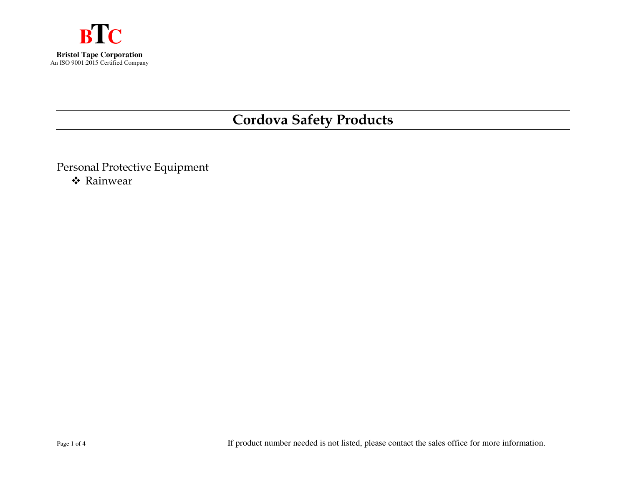

## **Cordova Safety Products**

Personal Protective Equipment ❖ Rainwear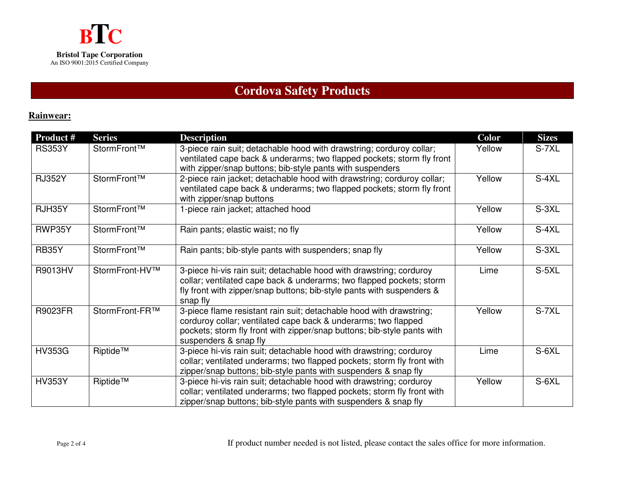### **Cordova Safety Products**

#### **Rainwear:**

| <b>Product #</b> | <b>Series</b>  | <b>Description</b>                                                                                                                                                                                                                        | <b>Color</b> | <b>Sizes</b> |
|------------------|----------------|-------------------------------------------------------------------------------------------------------------------------------------------------------------------------------------------------------------------------------------------|--------------|--------------|
| <b>RS353Y</b>    | StormFront™    | 3-piece rain suit; detachable hood with drawstring; corduroy collar;<br>ventilated cape back & underarms; two flapped pockets; storm fly front<br>with zipper/snap buttons; bib-style pants with suspenders                               | Yellow       | S-7XL        |
| <b>RJ352Y</b>    | StormFront™    | 2-piece rain jacket; detachable hood with drawstring; corduroy collar;<br>ventilated cape back & underarms; two flapped pockets; storm fly front<br>with zipper/snap buttons                                                              | Yellow       | $S-4XL$      |
| RJH35Y           | StormFront™    | 1-piece rain jacket; attached hood                                                                                                                                                                                                        | Yellow       | S-3XL        |
| RWP35Y           | StormFront™    | Rain pants; elastic waist; no fly                                                                                                                                                                                                         | Yellow       | $S-4XL$      |
| RB35Y            | StormFront™    | Rain pants; bib-style pants with suspenders; snap fly                                                                                                                                                                                     | Yellow       | S-3XL        |
| R9013HV          | StormFront-HV™ | 3-piece hi-vis rain suit; detachable hood with drawstring; corduroy<br>collar; ventilated cape back & underarms; two flapped pockets; storm<br>fly front with zipper/snap buttons; bib-style pants with suspenders &<br>snap fly          | Lime         | S-5XL        |
| <b>R9023FR</b>   | StormFront-FR™ | 3-piece flame resistant rain suit; detachable hood with drawstring;<br>corduroy collar; ventilated cape back & underarms; two flapped<br>pockets; storm fly front with zipper/snap buttons; bib-style pants with<br>suspenders & snap fly | Yellow       | S-7XL        |
| <b>HV353G</b>    | Riptide™       | 3-piece hi-vis rain suit; detachable hood with drawstring; corduroy<br>collar; ventilated underarms; two flapped pockets; storm fly front with<br>zipper/snap buttons; bib-style pants with suspenders & snap fly                         | Lime         | S-6XL        |
| <b>HV353Y</b>    | Riptide™       | 3-piece hi-vis rain suit; detachable hood with drawstring; corduroy<br>collar; ventilated underarms; two flapped pockets; storm fly front with<br>zipper/snap buttons; bib-style pants with suspenders & snap fly                         | Yellow       | S-6XL        |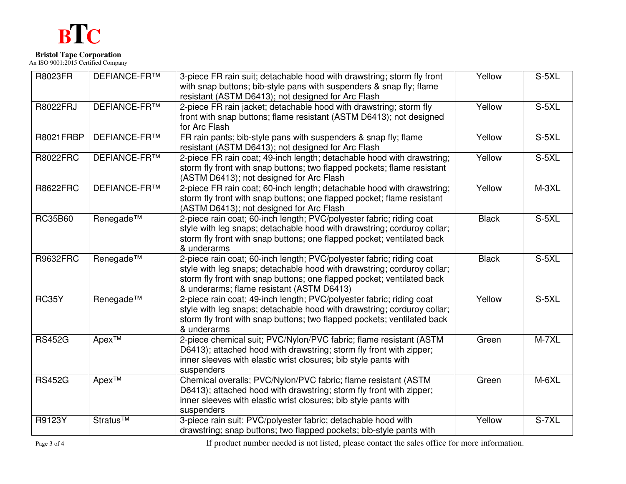# **BTC**

## **Bristol Tape Corporation**  An ISO 9001:2015 Certified Company

| <b>R8023FR</b>   | <b>DEFIANCE-FR™</b> | 3-piece FR rain suit; detachable hood with drawstring; storm fly front  | Yellow       | S-5XL   |
|------------------|---------------------|-------------------------------------------------------------------------|--------------|---------|
|                  |                     | with snap buttons; bib-style pans with suspenders & snap fly; flame     |              |         |
|                  |                     | resistant (ASTM D6413); not designed for Arc Flash                      |              |         |
| <b>R8022FRJ</b>  | <b>DEFIANCE-FR™</b> | 2-piece FR rain jacket; detachable hood with drawstring; storm fly      | Yellow       | $S-5XL$ |
|                  |                     | front with snap buttons; flame resistant (ASTM D6413); not designed     |              |         |
|                  |                     | for Arc Flash                                                           |              |         |
| <b>R8021FRBP</b> | <b>DEFIANCE-FR™</b> | FR rain pants; bib-style pans with suspenders & snap fly; flame         | Yellow       | $S-5XL$ |
|                  |                     | resistant (ASTM D6413); not designed for Arc Flash                      |              |         |
| <b>R8022FRC</b>  | <b>DEFIANCE-FR™</b> | 2-piece FR rain coat; 49-inch length; detachable hood with drawstring;  | Yellow       | $S-5XL$ |
|                  |                     | storm fly front with snap buttons; two flapped pockets; flame resistant |              |         |
|                  |                     | (ASTM D6413); not designed for Arc Flash                                |              |         |
| <b>R8622FRC</b>  | <b>DEFIANCE-FR™</b> | 2-piece FR rain coat; 60-inch length; detachable hood with drawstring;  | Yellow       | $M-3XL$ |
|                  |                     | storm fly front with snap buttons; one flapped pocket; flame resistant  |              |         |
|                  |                     | (ASTM D6413); not designed for Arc Flash                                |              |         |
| <b>RC35B60</b>   | Renegade™           | 2-piece rain coat; 60-inch length; PVC/polyester fabric; riding coat    | <b>Black</b> | $S-5XL$ |
|                  |                     | style with leg snaps; detachable hood with drawstring; corduroy collar; |              |         |
|                  |                     | storm fly front with snap buttons; one flapped pocket; ventilated back  |              |         |
|                  |                     | & underarms                                                             |              |         |
| <b>R9632FRC</b>  | Renegade™           | 2-piece rain coat; 60-inch length; PVC/polyester fabric; riding coat    | <b>Black</b> | $S-5XL$ |
|                  |                     | style with leg snaps; detachable hood with drawstring; corduroy collar; |              |         |
|                  |                     | storm fly front with snap buttons; one flapped pocket; ventilated back  |              |         |
|                  |                     | & underarms; flame resistant (ASTM D6413)                               |              |         |
| <b>RC35Y</b>     | Renegade™           | 2-piece rain coat; 49-inch length; PVC/polyester fabric; riding coat    | Yellow       | $S-5XL$ |
|                  |                     | style with leg snaps; detachable hood with drawstring; corduroy collar; |              |         |
|                  |                     | storm fly front with snap buttons; two flapped pockets; ventilated back |              |         |
|                  |                     | & underarms                                                             |              |         |
| <b>RS452G</b>    | Apex™               | 2-piece chemical suit; PVC/Nylon/PVC fabric; flame resistant (ASTM      | Green        | $M-7XL$ |
|                  |                     | D6413); attached hood with drawstring; storm fly front with zipper;     |              |         |
|                  |                     | inner sleeves with elastic wrist closures; bib style pants with         |              |         |
|                  |                     | suspenders                                                              |              |         |
| <b>RS452G</b>    | Apex™               | Chemical overalls; PVC/Nylon/PVC fabric; flame resistant (ASTM          | Green        | M-6XL   |
|                  |                     | D6413); attached hood with drawstring; storm fly front with zipper;     |              |         |
|                  |                     | inner sleeves with elastic wrist closures; bib style pants with         |              |         |
|                  |                     | suspenders                                                              |              |         |
| R9123Y           | Stratus™            | 3-piece rain suit; PVC/polyester fabric; detachable hood with           | Yellow       | S-7XL   |
|                  |                     | drawstring; snap buttons; two flapped pockets; bib-style pants with     |              |         |

Page 3 of 4 If product number needed is not listed, please contact the sales office for more information.